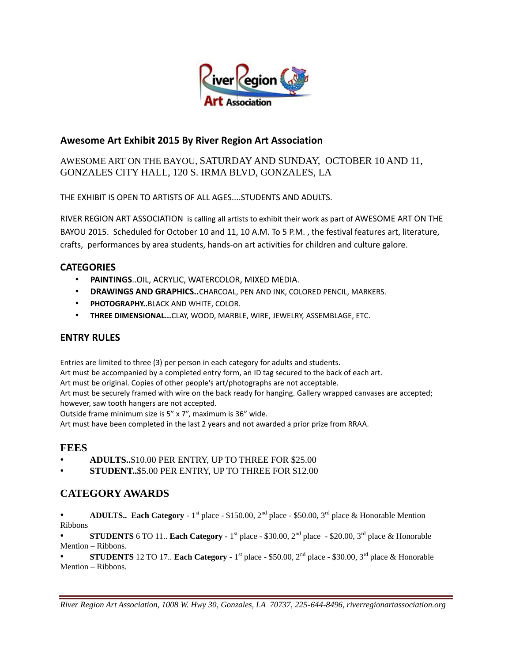

### **Awesome Art Exhibit 2015 By River Region Art Association**

### AWESOME ART ON THE BAYOU, SATURDAY AND SUNDAY, OCTOBER 10 AND 11, GONZALES CITY HALL, 120 S. IRMA BLVD, GONZALES, LA

THE EXHIBIT IS OPEN TO ARTISTS OF ALL AGES....STUDENTS AND ADULTS.

RIVER REGION ART ASSOCIATION is calling all artists to exhibit their work as part of AWESOME ART ON THE BAYOU 2015. Scheduled for October 10 and 11, 10 A.M. To 5 P.M. , the festival features art, literature, crafts, performances by area students, hands-on art activities for children and culture galore.

### **CATEGORIES**

- **PAINTINGS**..OIL, ACRYLIC, WATERCOLOR, MIXED MEDIA.
- **DRAWINGS AND GRAPHICS..**CHARCOAL, PEN AND INK, COLORED PENCIL, MARKERS.
- **PHOTOGRAPHY..**BLACK AND WHITE, COLOR.
- **THREE DIMENSIONAL...**CLAY, WOOD, MARBLE, WIRE, JEWELRY, ASSEMBLAGE, ETC.

### **ENTRY RULES**

Entries are limited to three (3) per person in each category for adults and students.

Art must be accompanied by a completed entry form, an ID tag secured to the back of each art.

Art must be original. Copies of other people's art/photographs are not acceptable.

Art must be securely framed with wire on the back ready for hanging. Gallery wrapped canvases are accepted; however, saw tooth hangers are not accepted.

Outside frame minimum size is 5" x 7", maximum is 36" wide.

Art must have been completed in the last 2 years and not awarded a prior prize from RRAA.

## **FEES**

- **ADULTS..**\$10.00 PER ENTRY, UP TO THREE FOR \$25.00
- **STUDENT..**\$5.00 PER ENTRY, UP TO THREE FOR \$12.00

# **CATEGORY AWARDS**

• **ADULTS.. Each Category** - 1<sup>st</sup> place - \$150.00, 2<sup>nd</sup> place - \$50.00, 3<sup>rd</sup> place & Honorable Mention – Ribbons

• **STUDENTS** 6 TO 11.. **Each Category** - 1<sup>st</sup> place - \$30.00, 2<sup>nd</sup> place - \$20.00, 3<sup>rd</sup> place & Honorable Mention – Ribbons.

• **STUDENTS** 12 TO 17.. **Each Category -**  $1<sup>st</sup>$  place - \$50.00,  $2<sup>nd</sup>$  place - \$30.00,  $3<sup>rd</sup>$  place & Honorable Mention – Ribbons.

*River Region Art Association, 1008 W. Hwy 30, Gonzales, LA 70737, 225-644-8496, riverregionartassociation.org*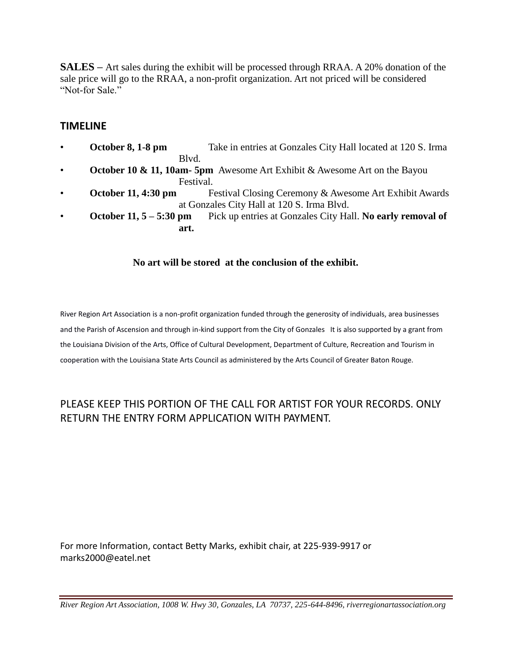**SALES –** Art sales during the exhibit will be processed through RRAA. A 20% donation of the sale price will go to the RRAA, a non-profit organization. Art not priced will be considered "Not-for Sale"

### **TIMELINE**

- **October 8, 1-8 pm** Take in entries at Gonzales City Hall located at 120 S. Irma Blvd.
- **October 10 & 11, 10am- 5pm** Awesome Art Exhibit & Awesome Art on the Bayou Festival.
- **October 11, 4:30 pm** Festival Closing Ceremony & Awesome Art Exhibit Awards at Gonzales City Hall at 120 S. Irma Blvd.
- **October 11, 5 – 5:30 pm** Pick up entries at Gonzales City Hall. **No early removal of art.**

#### **No art will be stored at the conclusion of the exhibit.**

River Region Art Association is a non-profit organization funded through the generosity of individuals, area businesses and the Parish of Ascension and through in-kind support from the City of Gonzales It is also supported by a grant from the Louisiana Division of the Arts, Office of Cultural Development, Department of Culture, Recreation and Tourism in cooperation with the Louisiana State Arts Council as administered by the Arts Council of Greater Baton Rouge.

# PLEASE KEEP THIS PORTION OF THE CALL FOR ARTIST FOR YOUR RECORDS. ONLY RETURN THE ENTRY FORM APPLICATION WITH PAYMENT.

For more Information, contact Betty Marks, exhibit chair, at 225-939-9917 or marks2000@eatel.net

*River Region Art Association, 1008 W. Hwy 30, Gonzales, LA 70737, 225-644-8496, riverregionartassociation.org*